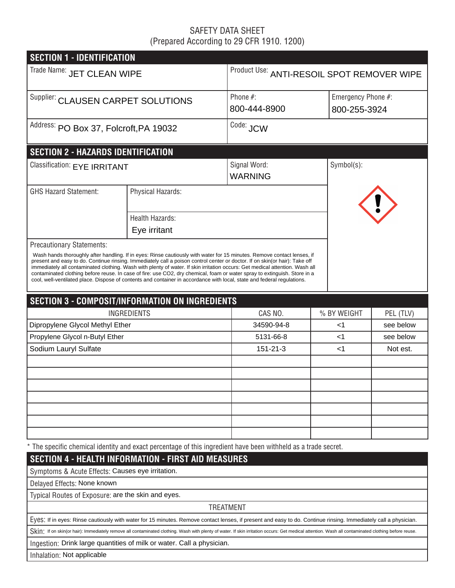## SAFETY DATA SHEET (Prepared According to 29 CFR 1910. 1200)

| <b>SECTION 1 - IDENTIFICATION</b>                  |                                                                                                                         |                                                                                                                                                                                                                                                                                                                                                                                                                                                                                                                     |                                            |                    |  |  |  |  |
|----------------------------------------------------|-------------------------------------------------------------------------------------------------------------------------|---------------------------------------------------------------------------------------------------------------------------------------------------------------------------------------------------------------------------------------------------------------------------------------------------------------------------------------------------------------------------------------------------------------------------------------------------------------------------------------------------------------------|--------------------------------------------|--------------------|--|--|--|--|
| Trade Name: JET CLEAN WIPE                         |                                                                                                                         |                                                                                                                                                                                                                                                                                                                                                                                                                                                                                                                     | Product Use: ANTI-RESOIL SPOT REMOVER WIPE |                    |  |  |  |  |
| Supplier: CLAUSEN CARPET SOLUTIONS                 |                                                                                                                         | Phone #:                                                                                                                                                                                                                                                                                                                                                                                                                                                                                                            |                                            | Emergency Phone #: |  |  |  |  |
|                                                    |                                                                                                                         | 800-444-8900                                                                                                                                                                                                                                                                                                                                                                                                                                                                                                        |                                            | 800-255-3924       |  |  |  |  |
| Address: PO Box 37, Folcroft, PA 19032             |                                                                                                                         | Code: JCW                                                                                                                                                                                                                                                                                                                                                                                                                                                                                                           |                                            |                    |  |  |  |  |
| <b>SECTION 2 - HAZARDS IDENTIFICATION</b>          |                                                                                                                         |                                                                                                                                                                                                                                                                                                                                                                                                                                                                                                                     |                                            |                    |  |  |  |  |
| Classification: EYE IRRITANT                       |                                                                                                                         | Signal Word:<br><b>WARNING</b>                                                                                                                                                                                                                                                                                                                                                                                                                                                                                      | Symbol(s):                                 |                    |  |  |  |  |
| <b>GHS Hazard Statement:</b>                       | Physical Hazards:                                                                                                       |                                                                                                                                                                                                                                                                                                                                                                                                                                                                                                                     |                                            |                    |  |  |  |  |
|                                                    | <b>Health Hazards:</b>                                                                                                  |                                                                                                                                                                                                                                                                                                                                                                                                                                                                                                                     |                                            |                    |  |  |  |  |
|                                                    | Eye irritant                                                                                                            |                                                                                                                                                                                                                                                                                                                                                                                                                                                                                                                     |                                            |                    |  |  |  |  |
| <b>Precautionary Statements:</b>                   | cool, well-ventilated place. Dispose of contents and container in accordance with local, state and federal regulations. | Wash hands thoroughly after handling. If in eyes: Rinse cautiously with water for 15 minutes. Remove contact lenses, if<br>present and easy to do. Continue rinsing. Immediately call a poison control center or doctor. If on skin(or hair): Take off<br>immediately all contaminated clothing. Wash with plenty of water. If skin irritation occurs: Get medical attention. Wash all<br>contaminated clothing before reuse. In case of fire: use CO2, dry chemical, foam or water spray to extinguish. Store in a |                                            |                    |  |  |  |  |
|                                                    | <b>SECTION 3 - COMPOSIT/INFORMATION ON INGREDIENTS</b>                                                                  |                                                                                                                                                                                                                                                                                                                                                                                                                                                                                                                     |                                            |                    |  |  |  |  |
|                                                    | INGREDIENTS                                                                                                             | CAS NO.                                                                                                                                                                                                                                                                                                                                                                                                                                                                                                             | % BY WEIGHT                                | PEL (TLV)          |  |  |  |  |
| Dipropylene Glycol Methyl Ether                    |                                                                                                                         | 34590-94-8                                                                                                                                                                                                                                                                                                                                                                                                                                                                                                          | ا>                                         | see below          |  |  |  |  |
| Propylene Glycol n-Butyl Ether                     |                                                                                                                         | 5131-66-8                                                                                                                                                                                                                                                                                                                                                                                                                                                                                                           | ا>                                         | see below          |  |  |  |  |
| Sodium Lauryl Sulfate                              |                                                                                                                         |                                                                                                                                                                                                                                                                                                                                                                                                                                                                                                                     | ا>                                         | Not est.           |  |  |  |  |
|                                                    |                                                                                                                         |                                                                                                                                                                                                                                                                                                                                                                                                                                                                                                                     |                                            |                    |  |  |  |  |
|                                                    |                                                                                                                         |                                                                                                                                                                                                                                                                                                                                                                                                                                                                                                                     |                                            |                    |  |  |  |  |
|                                                    |                                                                                                                         |                                                                                                                                                                                                                                                                                                                                                                                                                                                                                                                     |                                            |                    |  |  |  |  |
|                                                    |                                                                                                                         |                                                                                                                                                                                                                                                                                                                                                                                                                                                                                                                     |                                            |                    |  |  |  |  |
|                                                    |                                                                                                                         |                                                                                                                                                                                                                                                                                                                                                                                                                                                                                                                     |                                            |                    |  |  |  |  |
|                                                    |                                                                                                                         |                                                                                                                                                                                                                                                                                                                                                                                                                                                                                                                     |                                            |                    |  |  |  |  |
|                                                    |                                                                                                                         |                                                                                                                                                                                                                                                                                                                                                                                                                                                                                                                     |                                            |                    |  |  |  |  |
|                                                    |                                                                                                                         | * The specific chemical identity and exact percentage of this ingredient have been withheld as a trade secret.                                                                                                                                                                                                                                                                                                                                                                                                      |                                            |                    |  |  |  |  |
|                                                    | <b>SECTION 4 - HEALTH INFORMATION - FIRST AID MEASURES</b>                                                              |                                                                                                                                                                                                                                                                                                                                                                                                                                                                                                                     |                                            |                    |  |  |  |  |
| Symptoms & Acute Effects: Causes eye irritation.   |                                                                                                                         |                                                                                                                                                                                                                                                                                                                                                                                                                                                                                                                     |                                            |                    |  |  |  |  |
| Delayed Effects: None known                        |                                                                                                                         |                                                                                                                                                                                                                                                                                                                                                                                                                                                                                                                     |                                            |                    |  |  |  |  |
| Typical Routes of Exposure: are the skin and eyes. |                                                                                                                         |                                                                                                                                                                                                                                                                                                                                                                                                                                                                                                                     |                                            |                    |  |  |  |  |
|                                                    |                                                                                                                         | <b>TREATMENT</b>                                                                                                                                                                                                                                                                                                                                                                                                                                                                                                    |                                            |                    |  |  |  |  |
|                                                    |                                                                                                                         | EVeS: If in eyes: Rinse cautiously with water for 15 minutes. Remove contact lenses, if present and easy to do. Continue rinsing. Immediately call a physician.                                                                                                                                                                                                                                                                                                                                                     |                                            |                    |  |  |  |  |
|                                                    |                                                                                                                         | Skin: If on skin(or hair): Immediately remove all contaminated clothing. Wash with plenty of water. If skin irritation occurs: Get medical attention. Wash all contaminated clothing before reuse.                                                                                                                                                                                                                                                                                                                  |                                            |                    |  |  |  |  |
|                                                    | Ingestion: Drink large quantities of milk or water. Call a physician.                                                   |                                                                                                                                                                                                                                                                                                                                                                                                                                                                                                                     |                                            |                    |  |  |  |  |
| Inhalation: Not applicable                         |                                                                                                                         |                                                                                                                                                                                                                                                                                                                                                                                                                                                                                                                     |                                            |                    |  |  |  |  |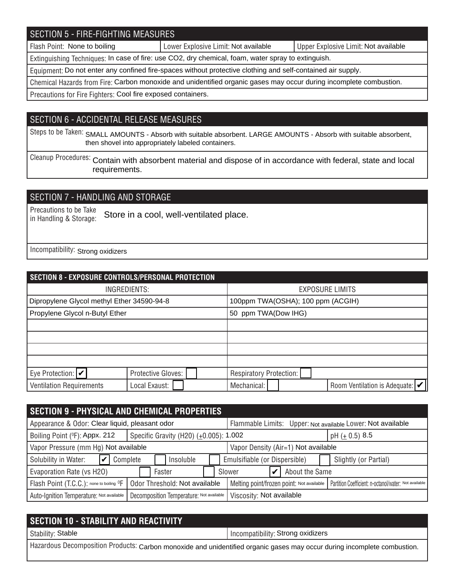# SECTION 5 - FIRE-FIGHTING MEASURES

Flash Point: None to boiling **Notable 2018** Lower Explosive Limit: Not available Not available Not available

Extinguishing Techniques: In case of fire: use CO2, dry chemical, foam, water spray to extinguish.

Equipment: Do not enter any confined fire-spaces without protective clothing and self-contained air supply.

Chemical Hazards from Fire: Carbon monoxide and unidentified organic gases may occur during incomplete combustion.

Precautions for Fire Fighters: Cool fire exposed containers.

## SECTION 6 - ACCIDENTAL RELEASE MEASURES

Steps to be Taken: SMALL AMOUNTS - Absorb with suitable absorbent. LARGE AMOUNTS - Absorb with suitable absorbent, then shovel into appropriately labeled containers.

Cleanup Procedures: Contain with absorbent material and dispose of in accordance with federal, state and local requirements.

# SECTION 7 - HANDLING AND STORAGE

Precautions to be Take in Handling & Storage: Store in a cool, well-ventilated place.

Incompatibility: Strong oxidizers

| SECTION 8 - EXPOSURE CONTROLS/PERSONAL PROTECTION |                    |                                   |                                                              |  |  |  |  |
|---------------------------------------------------|--------------------|-----------------------------------|--------------------------------------------------------------|--|--|--|--|
| INGREDIENTS:                                      |                    | <b>EXPOSURE LIMITS</b>            |                                                              |  |  |  |  |
| Dipropylene Glycol methyl Ether 34590-94-8        |                    | 100ppm TWA(OSHA); 100 ppm (ACGIH) |                                                              |  |  |  |  |
| Propylene Glycol n-Butyl Ether                    |                    | 50 ppm TWA(Dow IHG)               |                                                              |  |  |  |  |
|                                                   |                    |                                   |                                                              |  |  |  |  |
|                                                   |                    |                                   |                                                              |  |  |  |  |
|                                                   |                    |                                   |                                                              |  |  |  |  |
|                                                   |                    |                                   |                                                              |  |  |  |  |
| Eye Protection: $ v $                             | Protective Gloves: |                                   | Respiratory Protection:                                      |  |  |  |  |
| <b>Ventilation Requirements</b>                   | Local Exaust:      |                                   | Room Ventilation is Adequate: $ \mathcal{V} $<br>Mechanical: |  |  |  |  |

| <b>SECTION 9 - PHYSICAL AND CHEMICAL PROPERTIES</b>  |                                          |                          |                                                             |                    |                                                       |  |  |
|------------------------------------------------------|------------------------------------------|--------------------------|-------------------------------------------------------------|--------------------|-------------------------------------------------------|--|--|
| Appearance & Odor: Clear liquid, pleasant odor       |                                          |                          | Flammable Limits: Upper: Not available Lower: Not available |                    |                                                       |  |  |
| Boiling Point (°F): Appx. 212                        | Specific Gravity (H20) (±0.005): 1.002   |                          |                                                             | pH $(\pm 0.5)$ 8.5 |                                                       |  |  |
| Vapor Pressure (mm Hg) Not available                 |                                          |                          | Vapor Density (Air=1) Not available                         |                    |                                                       |  |  |
| Solubility in Water:<br>Complete                     | Insoluble                                |                          | Emulsifiable (or Dispersible)                               |                    | Slightly (or Partial)                                 |  |  |
| Evaporation Rate (vs H2O)                            | Faster                                   |                          | Slower                                                      | About the Same     |                                                       |  |  |
| Flash Point (T.C.C.): none to boiling <sup>O</sup> F | Odor Threshold: Not available            |                          | Melting point/frozen point: Not available                   |                    | Partition Coefficient: n-octanol/water: Not available |  |  |
| Auto-Ignition Temperature: Not available             | Decomposition Temperature: Not available | Viscosity: Not available |                                                             |                    |                                                       |  |  |

| SECTION 10 - STABILITY AND REACTIVITY                                                                                    |                                   |  |  |  |
|--------------------------------------------------------------------------------------------------------------------------|-----------------------------------|--|--|--|
| Stability: Stable                                                                                                        | Incompatibility: Strong oxidizers |  |  |  |
| Hazardous Decomposition Products: Carbon monoxide and unidentified organic gases may occur during incomplete combustion. |                                   |  |  |  |